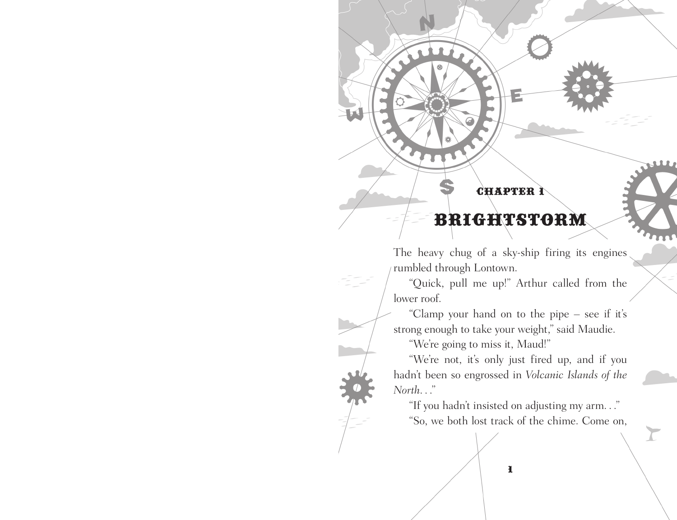## CHAPTER 1

## BRIGHTSTORM



The heavy chug of a sky-ship firing its engines rumbled through Lontown.

"Quick, pull me up!" Arthur called from the lower roof.

"Clamp your hand on to the pipe – see if it's strong enough to take your weight," said Maudie.

"We're going to miss it, Maud!"

"We're not, it's only just fired up, and if you hadn't been so engrossed in *Volcanic Islands of the North*. . ."

"If you hadn't insisted on adjusting my arm. . ." "So, we both lost track of the chime. Come on,

 $\mathbf 1$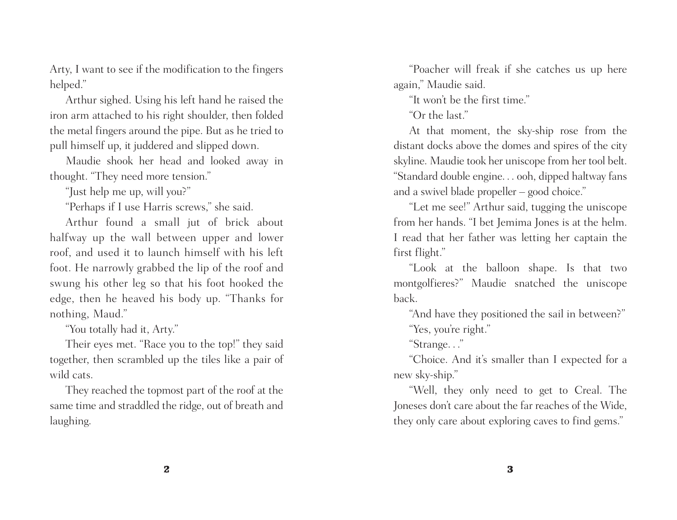Arty, I want to see if the modification to the fingers helped."

Arthur sighed. Using his left hand he raised the iron arm attached to his right shoulder, then folded the metal fingers around the pipe. But as he tried to pull himself up, it juddered and slipped down.

Maudie shook her head and looked away in thought. "They need more tension."

"Just help me up, will you?"

"Perhaps if I use Harris screws," she said.

Arthur found a small jut of brick about halfway up the wall between upper and lower roof, and used it to launch himself with his left foot. He narrowly grabbed the lip of the roof and swung his other leg so that his foot hooked the edge, then he heaved his body up. "Thanks for nothing, Maud."

"You totally had it, Arty."

Their eyes met. "Race you to the top!" they said together, then scrambled up the tiles like a pair of wild cats.

They reached the topmost part of the roof at the same time and straddled the ridge, out of breath and laughing.

"Poacher will freak if she catches us up here again," Maudie said.

"It won't be the first time."

"Or the last."

At that moment, the sky-ship rose from the distant docks above the domes and spires of the city skyline. Maudie took her uniscope from her tool belt. "Standard double engine. . . ooh, dipped haltway fans and a swivel blade propeller – good choice."

"Let me see!" Arthur said, tugging the uniscope from her hands. "I bet Jemima Jones is at the helm. I read that her father was letting her captain the first flight."

"Look at the balloon shape. Is that two montgolfieres?" Maudie snatched the uniscope back.

"And have they positioned the sail in between?" "Yes, you're right."

"Strange. . ."

"Choice. And it's smaller than I expected for a new sky-ship."

"Well, they only need to get to Creal. The Joneses don't care about the far reaches of the Wide, they only care about exploring caves to find gems."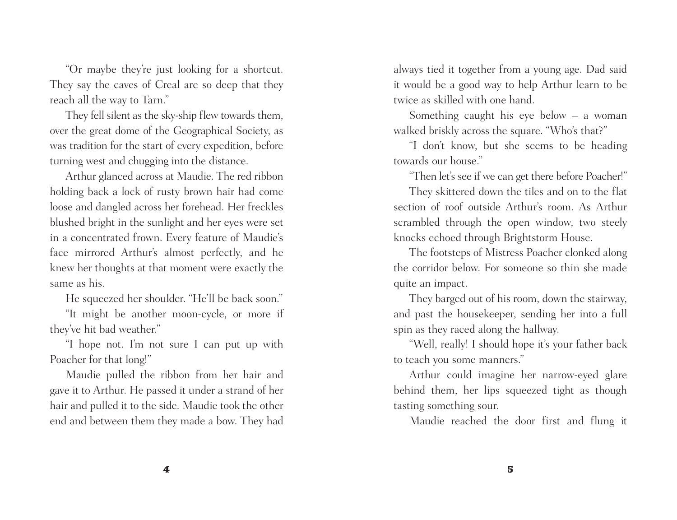"Or maybe they're just looking for a shortcut. They say the caves of Creal are so deep that they reach all the way to Tarn."

They fell silent as the sky-ship flew towards them, over the great dome of the Geographical Society, as was tradition for the start of every expedition, before turning west and chugging into the distance.

Arthur glanced across at Maudie. The red ribbon holding back a lock of rusty brown hair had come loose and dangled across her forehead. Her freckles blushed bright in the sunlight and her eyes were set in a concentrated frown. Every feature of Maudie's face mirrored Arthur's almost perfectly, and he knew her thoughts at that moment were exactly the same as his.

He squeezed her shoulder. "He'll be back soon."

"It might be another moon-cycle, or more if they've hit bad weather."

"I hope not. I'm not sure I can put up with Poacher for that long!"

Maudie pulled the ribbon from her hair and gave it to Arthur. He passed it under a strand of her hair and pulled it to the side. Maudie took the other end and between them they made a bow. They had always tied it together from a young age. Dad said it would be a good way to help Arthur learn to be twice as skilled with one hand.

Something caught his eye below  $-$  a woman walked briskly across the square. "Who's that?"

"I don't know, but she seems to be heading towards our house."

"Then let's see if we can get there before Poacher!"

They skittered down the tiles and on to the flat section of roof outside Arthur's room. As Arthur scrambled through the open window, two steely knocks echoed through Brightstorm House.

The footsteps of Mistress Poacher clonked along the corridor below. For someone so thin she made quite an impact.

They barged out of his room, down the stairway, and past the housekeeper, sending her into a full spin as they raced along the hallway.

"Well, really! I should hope it's your father back to teach you some manners."

Arthur could imagine her narrow-eyed glare behind them, her lips squeezed tight as though tasting something sour.

Maudie reached the door first and flung it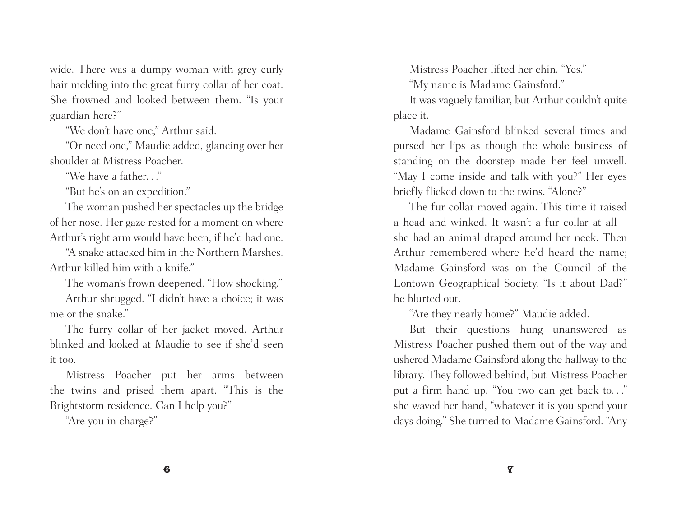wide. There was a dumpy woman with grey curly hair melding into the great furry collar of her coat. She frowned and looked between them. "Is your guardian here?"

"We don't have one," Arthur said.

"Or need one," Maudie added, glancing over her shoulder at Mistress Poacher.

"We have a father. . ."

"But he's on an expedition."

The woman pushed her spectacles up the bridge of her nose. Her gaze rested for a moment on where Arthur's right arm would have been, if he'd had one.

"A snake attacked him in the Northern Marshes. Arthur killed him with a knife."

The woman's frown deepened. "How shocking."

Arthur shrugged. "I didn't have a choice; it was me or the snake."

The furry collar of her jacket moved. Arthur blinked and looked at Maudie to see if she'd seen it too.

Mistress Poacher put her arms between the twins and prised them apart. "This is the Brightstorm residence. Can I help you?"

"Are you in charge?"

Mistress Poacher lifted her chin. "Yes."

"My name is Madame Gainsford."

It was vaguely familiar, but Arthur couldn't quite place it.

Madame Gainsford blinked several times and pursed her lips as though the whole business of standing on the doorstep made her feel unwell. "May I come inside and talk with you?" Her eyes briefly flicked down to the twins. "Alone?"

The fur collar moved again. This time it raised a head and winked. It wasn't a fur collar at all – she had an animal draped around her neck. Then Arthur remembered where he'd heard the name; Madame Gainsford was on the Council of the Lontown Geographical Society. "Is it about Dad?" he blurted out.

"Are they nearly home?" Maudie added.

But their questions hung unanswered as Mistress Poacher pushed them out of the way and ushered Madame Gainsford along the hallway to the library. They followed behind, but Mistress Poacher put a firm hand up. "You two can get back to. . ." she waved her hand, "whatever it is you spend your days doing." She turned to Madame Gainsford. "Any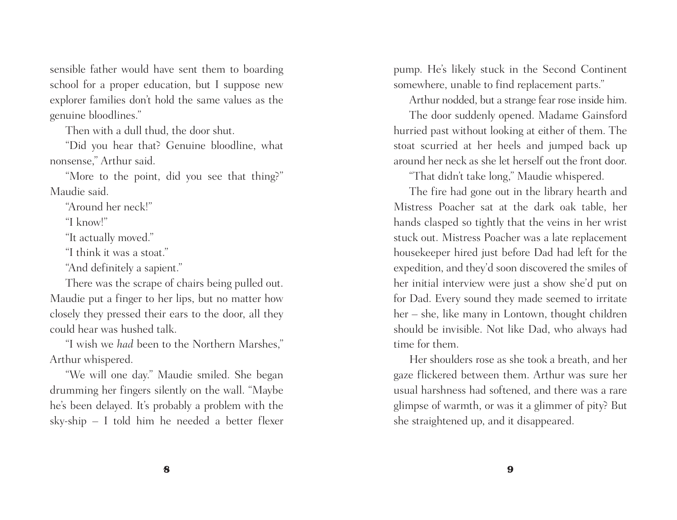sensible father would have sent them to boarding school for a proper education, but I suppose new explorer families don't hold the same values as the genuine bloodlines."

Then with a dull thud, the door shut.

"Did you hear that? Genuine bloodline, what nonsense," Arthur said.

"More to the point, did you see that thing?" Maudie said.

"Around her neck!"

"I know!"

"It actually moved."

"I think it was a stoat."

"And definitely a sapient."

There was the scrape of chairs being pulled out. Maudie put a finger to her lips, but no matter how closely they pressed their ears to the door, all they could hear was hushed talk.

"I wish we *had* been to the Northern Marshes," Arthur whispered.

"We will one day." Maudie smiled. She began drumming her fingers silently on the wall. "Maybe he's been delayed. It's probably a problem with the sky-ship – I told him he needed a better flexer pump. He's likely stuck in the Second Continent somewhere, unable to find replacement parts."

Arthur nodded, but a strange fear rose inside him.

The door suddenly opened. Madame Gainsford hurried past without looking at either of them. The stoat scurried at her heels and jumped back up around her neck as she let herself out the front door.

"That didn't take long," Maudie whispered.

The fire had gone out in the library hearth and Mistress Poacher sat at the dark oak table, her hands clasped so tightly that the veins in her wrist stuck out. Mistress Poacher was a late replacement housekeeper hired just before Dad had left for the expedition, and they'd soon discovered the smiles of her initial interview were just a show she'd put on for Dad. Every sound they made seemed to irritate her – she, like many in Lontown, thought children should be invisible. Not like Dad, who always had time for them.

Her shoulders rose as she took a breath, and her gaze flickered between them. Arthur was sure her usual harshness had softened, and there was a rare glimpse of warmth, or was it a glimmer of pity? But she straightened up, and it disappeared.